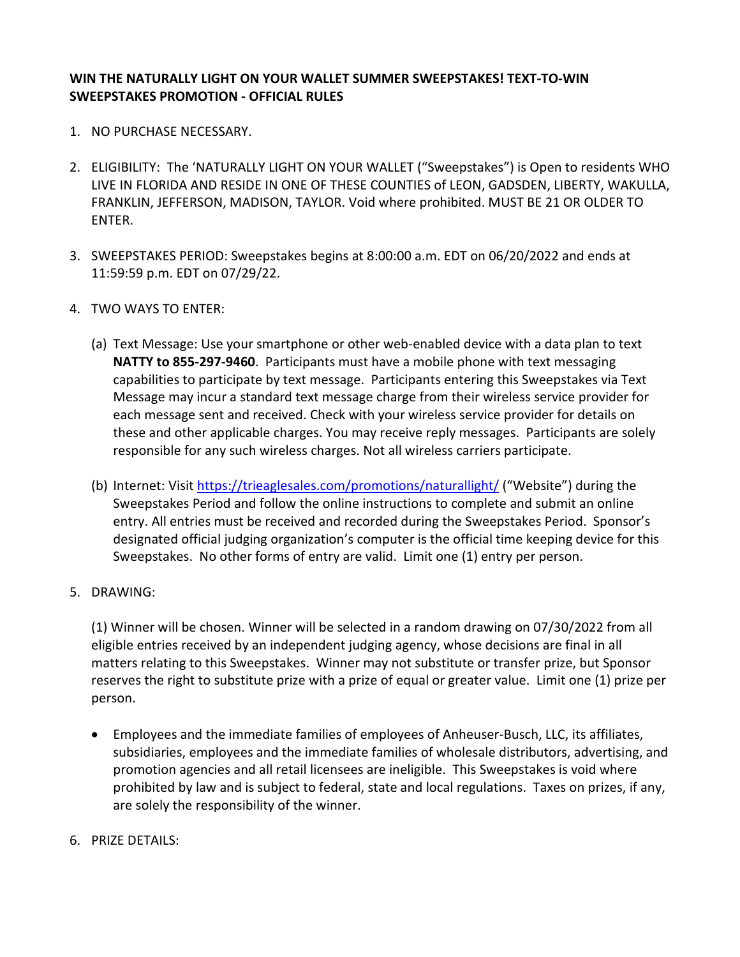# **WIN THE NATURALLY LIGHT ON YOUR WALLET SUMMER SWEEPSTAKES! TEXT-TO-WIN SWEEPSTAKES PROMOTION - OFFICIAL RULES**

- 1. NO PURCHASE NECESSARY.
- 2. ELIGIBILITY: The 'NATURALLY LIGHT ON YOUR WALLET ("Sweepstakes") is Open to residents WHO LIVE IN FLORIDA AND RESIDE IN ONE OF THESE COUNTIES of LEON, GADSDEN, LIBERTY, WAKULLA, FRANKLIN, JEFFERSON, MADISON, TAYLOR. Void where prohibited. MUST BE 21 OR OLDER TO ENTER.
- 3. SWEEPSTAKES PERIOD: Sweepstakes begins at 8:00:00 a.m. EDT on 06/20/2022 and ends at 11:59:59 p.m. EDT on 07/29/22.
- 4. TWO WAYS TO ENTER:
	- (a) Text Message: Use your smartphone or other web-enabled device with a data plan to text **NATTY to 855-297-9460**. Participants must have a mobile phone with text messaging capabilities to participate by text message. Participants entering this Sweepstakes via Text Message may incur a standard text message charge from their wireless service provider for each message sent and received. Check with your wireless service provider for details on these and other applicable charges. You may receive reply messages. Participants are solely responsible for any such wireless charges. Not all wireless carriers participate.
	- (b) Internet: Visit <https://trieaglesales.com/promotions/naturallight/> ("Website") during the Sweepstakes Period and follow the online instructions to complete and submit an online entry. All entries must be received and recorded during the Sweepstakes Period. Sponsor's designated official judging organization's computer is the official time keeping device for this Sweepstakes. No other forms of entry are valid. Limit one (1) entry per person.
- 5. DRAWING:

(1) Winner will be chosen. Winner will be selected in a random drawing on 07/30/2022 from all eligible entries received by an independent judging agency, whose decisions are final in all matters relating to this Sweepstakes. Winner may not substitute or transfer prize, but Sponsor reserves the right to substitute prize with a prize of equal or greater value. Limit one (1) prize per person.

- Employees and the immediate families of employees of Anheuser-Busch, LLC, its affiliates, subsidiaries, employees and the immediate families of wholesale distributors, advertising, and promotion agencies and all retail licensees are ineligible. This Sweepstakes is void where prohibited by law and is subject to federal, state and local regulations. Taxes on prizes, if any, are solely the responsibility of the winner.
- 6. PRIZE DETAILS: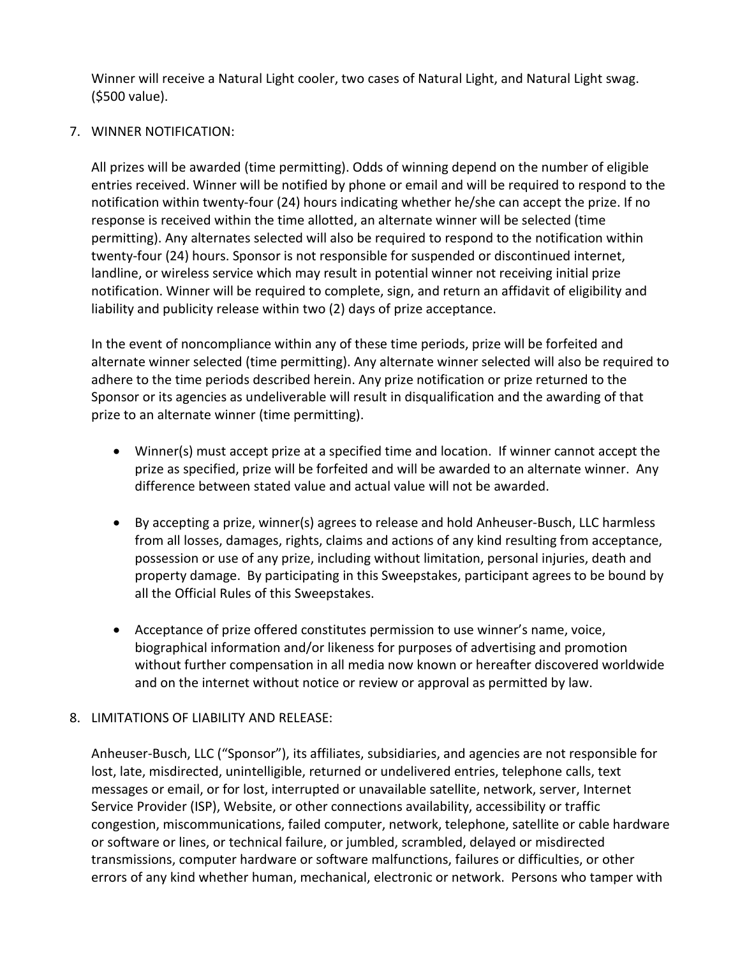Winner will receive a Natural Light cooler, two cases of Natural Light, and Natural Light swag. (\$500 value).

# 7. WINNER NOTIFICATION:

All prizes will be awarded (time permitting). Odds of winning depend on the number of eligible entries received. Winner will be notified by phone or email and will be required to respond to the notification within twenty-four (24) hours indicating whether he/she can accept the prize. If no response is received within the time allotted, an alternate winner will be selected (time permitting). Any alternates selected will also be required to respond to the notification within twenty-four (24) hours. Sponsor is not responsible for suspended or discontinued internet, landline, or wireless service which may result in potential winner not receiving initial prize notification. Winner will be required to complete, sign, and return an affidavit of eligibility and liability and publicity release within two (2) days of prize acceptance.

In the event of noncompliance within any of these time periods, prize will be forfeited and alternate winner selected (time permitting). Any alternate winner selected will also be required to adhere to the time periods described herein. Any prize notification or prize returned to the Sponsor or its agencies as undeliverable will result in disqualification and the awarding of that prize to an alternate winner (time permitting).

- Winner(s) must accept prize at a specified time and location. If winner cannot accept the prize as specified, prize will be forfeited and will be awarded to an alternate winner. Any difference between stated value and actual value will not be awarded.
- By accepting a prize, winner(s) agrees to release and hold Anheuser-Busch, LLC harmless from all losses, damages, rights, claims and actions of any kind resulting from acceptance, possession or use of any prize, including without limitation, personal injuries, death and property damage. By participating in this Sweepstakes, participant agrees to be bound by all the Official Rules of this Sweepstakes.
- Acceptance of prize offered constitutes permission to use winner's name, voice, biographical information and/or likeness for purposes of advertising and promotion without further compensation in all media now known or hereafter discovered worldwide and on the internet without notice or review or approval as permitted by law.

# 8. LIMITATIONS OF LIABILITY AND RELEASE:

Anheuser-Busch, LLC ("Sponsor"), its affiliates, subsidiaries, and agencies are not responsible for lost, late, misdirected, unintelligible, returned or undelivered entries, telephone calls, text messages or email, or for lost, interrupted or unavailable satellite, network, server, Internet Service Provider (ISP), Website, or other connections availability, accessibility or traffic congestion, miscommunications, failed computer, network, telephone, satellite or cable hardware or software or lines, or technical failure, or jumbled, scrambled, delayed or misdirected transmissions, computer hardware or software malfunctions, failures or difficulties, or other errors of any kind whether human, mechanical, electronic or network. Persons who tamper with